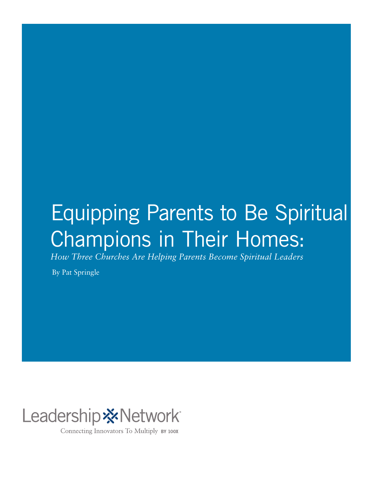## Equipping Parents to Be Spiritual Champions in Their Homes:

*How Three Churches Are Helping Parents Become Spiritual Leaders*

By Pat Springle



Connecting Innovators To Multiply BY 100X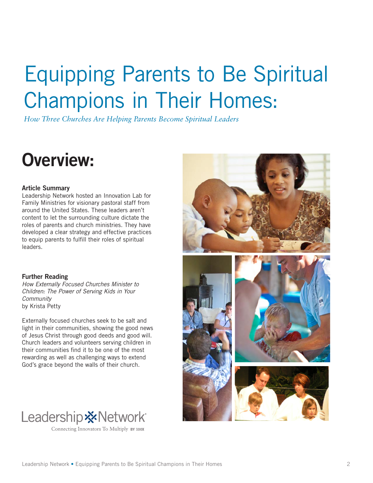## Equipping Parents to Be Spiritual Champions in Their Homes:

*How Three Churches Are Helping Parents Become Spiritual Leaders*

## Overview:

#### Article Summary

Leadership Network hosted an Innovation Lab for Family Ministries for visionary pastoral staff from around the United States. These leaders aren't content to let the surrounding culture dictate the roles of parents and church ministries. They have developed a clear strategy and effective practices to equip parents to fulfill their roles of spiritual leaders.

#### Further Reading

*How Externally Focused Churches Minister to Children: The Power of Serving Kids in Your Community*  by Krista Petty

Externally focused churches seek to be salt and light in their communities, showing the good news of Jesus Christ through good deeds and good will. Church leaders and volunteers serving children in their communities find it to be one of the most rewarding as well as challenging ways to extend God's grace beyond the walls of their church.





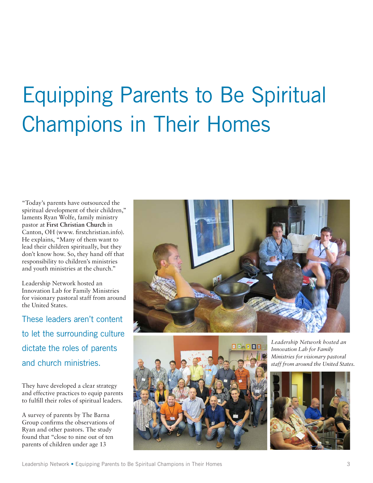# Equipping Parents to Be Spiritual Champions in Their Homes

"Today's parents have outsourced the spiritual development of their children," laments Ryan Wolfe, family ministry pastor at **First Christian Church** in Canton, OH (www. firstchristian.info). He explains, "Many of them want to lead their children spiritually, but they don't know how. So, they hand off that responsibility to children's ministries and youth ministries at the church."

Leadership Network hosted an Innovation Lab for Family Ministries for visionary pastoral staff from around the United States.

These leaders aren't content to let the surrounding culture dictate the roles of parents and church ministries.

They have developed a clear strategy and effective practices to equip parents to fulfill their roles of spiritual leaders.

A survey of parents by The Barna Group confirms the observations of Ryan and other pastors. The study found that "close to nine out of ten parents of children under age 13





*Leadership Network hosted an Innovation Lab for Family Ministries for visionary pastoral staff from around the United States.*

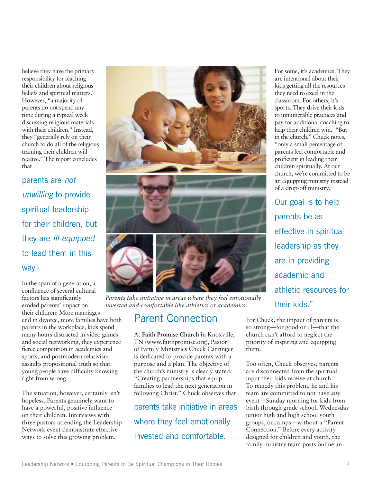believe they have the primary responsibility for teaching their children about religious beliefs and spiritual matters." However, "a majority of parents do not spend any time during a typical week discussing religious materials with their children." Instead, they "generally rely on their church to do all of the religious training their children will receive." The report concludes that

parents are *not unwilling* to provide spiritual leadership for their children, but they are *ill-equipped* to lead them in this way.<sup>1</sup>

In the span of a generation, a confluence of several cultural factors has significantly eroded parents' impact on their children: More marriages end in divorce, more families have both parents in the workplace, kids spend many hours distracted in video games and social networking, they experience fierce competition in academics and sports, and postmodern relativism assaults propositional truth so that young people have difficulty knowing right from wrong.

The situation, however, certainly isn't hopeless. Parents genuinely want to have a powerful, positive influence on their children. Interviews with three pastors attending the Leadership Network event demonstrate effective ways to solve this growing problem.







*Parents take initiative in areas where they feel emotionally invested and comfortable like athletics or academics.*

#### Parent Connection

At **Faith Promise Church** in Knoxville, TN (www.faithpromise.org), Pastor of Family Ministries Chuck Carringer is dedicated to provide parents with a purpose and a plan. The objective of the church's ministry is clearly stated: "Creating partnerships that equip families to lead the next generation in following Christ." Chuck observes that

parents take initiative in areas where they feel emotionally invested and comfortable.

For some, it's academics. They are intentional about their kids getting all the resources they need to excel in the classroom. For others, it's sports. They drive their kids to innumerable practices and pay for additional coaching to help their children win. "But in the church," Chuck notes, "only a small percentage of parents feel comfortable and proficient in leading their children spiritually. At our church, we're committed to be an equipping ministry instead of a drop-off ministry.

Our goal is to help parents be as effective in spiritual leadership as they are in providing academic and athletic resources for their kids."

For Chuck, the impact of parents is so strong—for good or ill—that the church can't afford to neglect the priority of inspiring and equipping them.

Too often, Chuck observes, parents are disconnected from the spiritual input their kids receive at church. To remedy this problem, he and his team are committed to not have *any* event—Sunday morning for kids from birth through grade school, Wednesday junior high and high school youth groups, or camps—without a "Parent Connection." Before every activity designed for children and youth, the family ministry team posts online an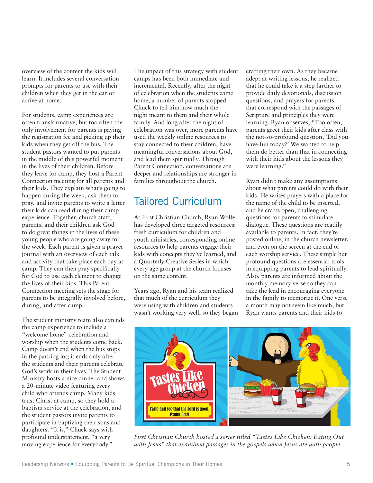overview of the content the kids will learn. It includes several conversation prompts for parents to use with their children when they get in the car or arrive at home.

For students, camp experiences are often transformative, but too often the only involvement for parents is paying the registration fee and picking up their kids when they get off the bus. The student pastors wanted to put parents in the middle of this powerful moment in the lives of their children. Before they leave for camp, they host a Parent Connection meeting for all parents and their kids. They explain what's going to happen during the week, ask them to pray, and invite parents to write a letter their kids can read during their camp experience. Together, church staff, parents, and their children ask God to do great things in the lives of these young people who are going away for the week. Each parent is given a prayer journal with an overview of each talk and activity that take place each day at camp. They can then pray specifically for God to use each element to change the lives of their kids. This Parent Connection meeting sets the stage for parents to be integrally involved before, during, and after camp.

The student ministry team also extends the camp experience to include a "welcome home" celebration and worship when the students come back. Camp doesn't end when the bus stops in the parking lot; it ends only after the students and their parents celebrate God's work in their lives. The Student Ministry hosts a nice dinner and shows a 20-minute video featuring every child who attends camp. Many kids trust Christ at camp, so they hold a baptism service at the celebration, and the student pastors invite parents to participate in baptizing their sons and daughters. "It is," Chuck says with profound understatement, "a very moving experience for everybody."

The impact of this strategy with student camps has been both immediate and incremental. Recently, after the night of celebration when the students came home, a number of parents stopped Chuck to tell him how much the night meant to them and their whole family. And long after the night of celebration was over, more parents have used the weekly online resources to stay connected to their children, have meaningful conversations about God, and lead them spiritually. Through Parent Connection, conversations are deeper and relationships are stronger in families throughout the church.

### Tailored Curriculum

At First Christian Church, Ryan Wolfe has developed three targeted resources: fresh curriculum for children and youth ministries, corresponding online resources to help parents engage their kids with concepts they've learned, and a Quarterly Creative Series in which every age group at the church focuses on the same content.

Years ago, Ryan and his team realized that much of the curriculum they were using with children and students wasn't working very well, so they began crafting their own. As they became adept at writing lessons, he realized that he could take it a step farther to provide daily devotionals, discussion questions, and prayers for parents that correspond with the passages of Scripture and principles they were learning. Ryan observes, "Too often, parents greet their kids after class with the not-so-profound question, 'Did you have fun today?' We wanted to help them do better than that in connecting with their kids about the lessons they were learning."

Ryan didn't make any assumptions about what parents could do with their kids. He writes prayers with a place for the name of the child to be inserted, and he crafts open, challenging questions for parents to stimulate dialogue. These questions are readily available to parents. In fact, they're posted online, in the church newsletter, and even on the screen at the end of each worship service. These simple but profound questions are essential tools in equipping parents to lead spiritually. Also, parents are informed about the monthly memory verse so they can take the lead in encouraging everyone in the family to memorize it. One verse a month may not seem like much, but Ryan wants parents and their kids to



*First Christian Church hosted a series titled "Tastes Like Chicken: Eating Out with Jesus" that examined passages in the gospels when Jesus ate with people.*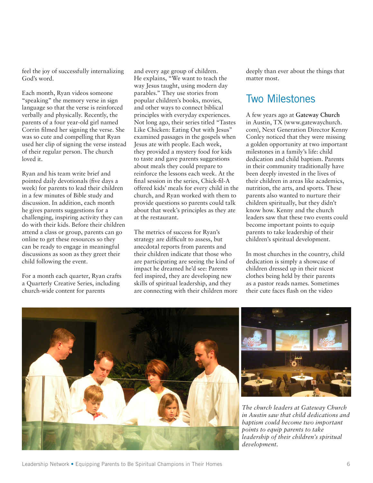feel the joy of successfully internalizing God's word.

Each month, Ryan videos someone "speaking" the memory verse in sign language so that the verse is reinforced verbally and physically. Recently, the parents of a four year-old girl named Corrin filmed her signing the verse. She was so cute and compelling that Ryan used her clip of signing the verse instead of their regular person. The church loved it.

Ryan and his team write brief and pointed daily devotionals (five days a week) for parents to lead their children in a few minutes of Bible study and discussion. In addition, each month he gives parents suggestions for a challenging, inspiring activity they can do with their kids. Before their children attend a class or group, parents can go online to get these resources so they can be ready to engage in meaningful discussions as soon as they greet their child following the event.

For a month each quarter, Ryan crafts a Quarterly Creative Series, including church-wide content for parents

and every age group of children. He explains, "We want to teach the way Jesus taught, using modern day parables." They use stories from popular children's books, movies, and other ways to connect biblical principles with everyday experiences. Not long ago, their series titled "Tastes Like Chicken: Eating Out with Jesus" examined passages in the gospels when Jesus ate with people. Each week, they provided a mystery food for kids to taste and gave parents suggestions about meals they could prepare to reinforce the lessons each week. At the final session in the series, Chick-fil-A offered kids' meals for every child in the church, and Ryan worked with them to provide questions so parents could talk about that week's principles as they ate at the restaurant.

The metrics of success for Ryan's strategy are difficult to assess, but anecdotal reports from parents and their children indicate that those who are participating are seeing the kind of impact he dreamed he'd see: Parents feel inspired, they are developing new skills of spiritual leadership, and they are connecting with their children more deeply than ever about the things that matter most.

#### Two Milestones

A few years ago at **Gateway Church** in Austin, TX (www.gatewaychurch. com), Next Generation Director Kenny Conley noticed that they were missing a golden opportunity at two important milestones in a family's life: child dedication and child baptism. Parents in their community traditionally have been deeply invested in the lives of their children in areas like academics, nutrition, the arts, and sports. These parents also wanted to nurture their children spiritually, but they didn't know how. Kenny and the church leaders saw that these two events could become important points to equip parents to take leadership of their children's spiritual development.

In most churches in the country, child dedication is simply a showcase of children dressed up in their nicest clothes being held by their parents as a pastor reads names. Sometimes their cute faces flash on the video





*The church leaders at Gateway Church in Austin saw that child dedications and baptism could become two important points to equip parents to take leadership of their children's spiritual development.*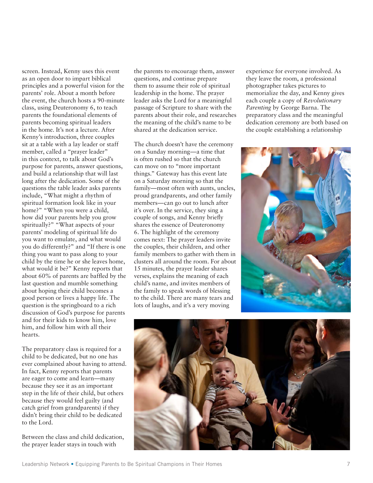screen. Instead, Kenny uses this event as an open door to impart biblical principles and a powerful vision for the parents' role. About a month before the event, the church hosts a 90-minute class, using Deuteronomy 6, to teach parents the foundational elements of parents becoming spiritual leaders in the home. It's not a lecture. After Kenny's introduction, three couples sit at a table with a lay leader or staff member, called a "prayer leader" in this context, to talk about God's purpose for parents, answer questions, and build a relationship that will last long after the dedication. Some of the questions the table leader asks parents include, "What might a rhythm of spiritual formation look like in your home?" "When you were a child, how did your parents help you grow spiritually?" "What aspects of your parents' modeling of spiritual life do you want to emulate, and what would you do differently?" and "If there is one thing you want to pass along to your child by the time he or she leaves home, what would it be?" Kenny reports that about 60% of parents are baffled by the last question and mumble something about hoping their child becomes a good person or lives a happy life. The question is the springboard to a rich discussion of God's purpose for parents and for their kids to know him, love him, and follow him with all their hearts.

The preparatory class is required for a child to be dedicated, but no one has ever complained about having to attend. In fact, Kenny reports that parents are eager to come and learn—many because they see it as an important step in the life of their child, but others because they would feel guilty (and catch grief from grandparents) if they didn't bring their child to be dedicated to the Lord.

Between the class and child dedication, the prayer leader stays in touch with

the parents to encourage them, answer questions, and continue prepare them to assume their role of spiritual leadership in the home. The prayer leader asks the Lord for a meaningful passage of Scripture to share with the parents about their role, and researches the meaning of the child's name to be shared at the dedication service.

The church doesn't have the ceremony on a Sunday morning—a time that is often rushed so that the church can move on to "more important things." Gateway has this event late on a Saturday morning so that the family—most often with aunts, uncles, proud grandparents, and other family members—can go out to lunch after it's over. In the service, they sing a couple of songs, and Kenny briefly shares the essence of Deuteronomy 6. The highlight of the ceremony comes next: The prayer leaders invite the couples, their children, and other family members to gather with them in clusters all around the room. For about 15 minutes, the prayer leader shares verses, explains the meaning of each child's name, and invites members of the family to speak words of blessing to the child. There are many tears and lots of laughs, and it's a very moving

experience for everyone involved. As they leave the room, a professional photographer takes pictures to memorialize the day, and Kenny gives each couple a copy of *Revolutionary Parenting* by George Barna. The preparatory class and the meaningful dedication ceremony are both based on the couple establishing a relationship



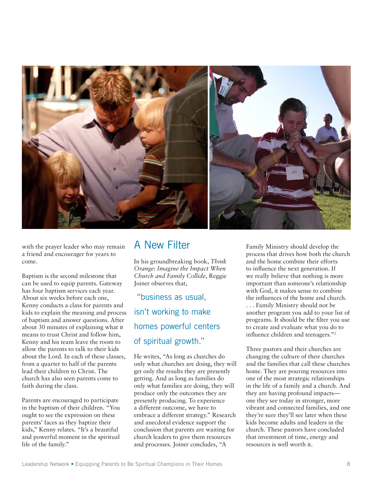

with the prayer leader who may remain a friend and encourager for years to come.

Baptism is the second milestone that can be used to equip parents. Gateway has four baptism services each year. About six weeks before each one, Kenny conducts a class for parents and kids to explain the meaning and process of baptism and answer questions. After about 30 minutes of explaining what it means to trust Christ and follow him, Kenny and his team leave the room to allow the parents to talk to their kids about the Lord. In each of these classes, from a quarter to half of the parents lead their children to Christ. The church has also seen parents come to faith during the class.

Parents are encouraged to participate in the baptism of their children. "You ought to see the expression on these parents' faces as they baptize their kids," Kenny relates. "It's a beautiful and powerful moment in the spiritual life of the family."

#### A New Filter

In his groundbreaking book, *Think Orange: Imagine the Impact When Church and Family Collide*, Reggie Joiner observes that,

 "business as usual, isn't working to make homes powerful centers of spiritual growth."

He writes, "As long as churches do only what churches are doing, they will get only the results they are presently getting. And as long as families do only what families are doing, they will produce only the outcomes they are presently producing. To experience a different outcome, we have to embrace a different strategy." Research and anecdotal evidence support the conclusion that parents are waiting for church leaders to give them resources and processes. Joiner concludes, "A

Family Ministry should develop the process that drives how both the church and the home combine their efforts to influence the next generation. If we really believe that nothing is more important than someone's relationship with God, it makes sense to combine the influences of the home and church. . . . Family Ministry should not be another program you add to your list of programs. It should be the filter you use to create and evaluate what you do to influence children and teenagers."2

Three pastors and their churches are changing the culture of their churches and the families that call these churches home. They are pouring resources into one of the most strategic relationships in the life of a family and a church. And they are having profound impacts one they see today in stronger, more vibrant and connected families, and one they're sure they'll see later when these kids become adults and leaders in the church. These pastors have concluded that investment of time, energy and resources is well worth it.